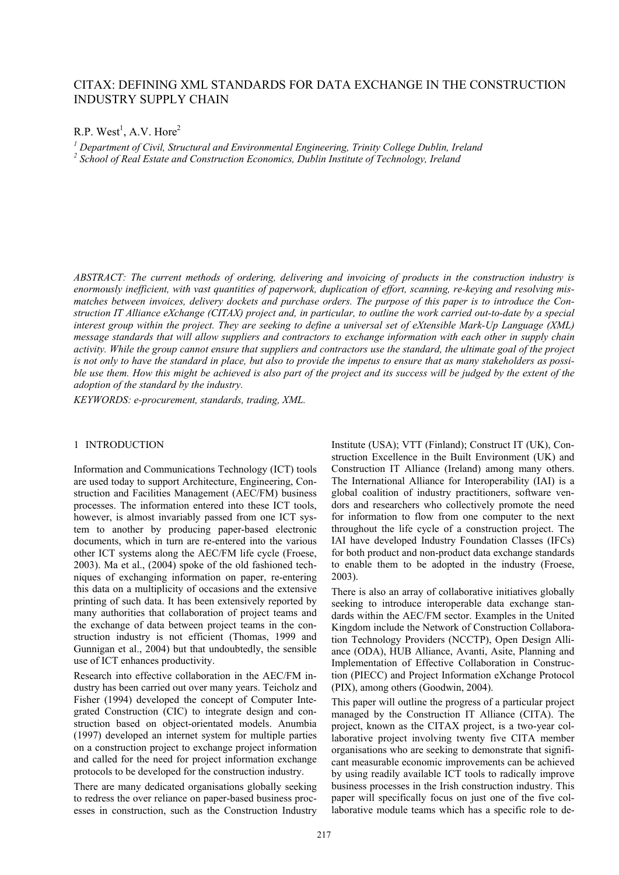# CITAX: DEFINING XML STANDARDS FOR DATA EXCHANGE IN THE CONSTRUCTION INDUSTRY SUPPLY CHAIN

 $R.P.$  West<sup>1</sup>, A.V. Hore<sup>2</sup>

<sup>1</sup> Department of Civil, Structural and Environmental Engineering, Trinity College Dublin, Ireland <sup>2</sup> School of Real Estate and Construction Economics, Dublin Institute of Technology, Ireland

*ABSTRACT: The current methods of ordering, delivering and invoicing of products in the construction industry is enormously inefficient, with vast quantities of paperwork, duplication of effort, scanning, re-keying and resolving mismatches between invoices, delivery dockets and purchase orders. The purpose of this paper is to introduce the Construction IT Alliance eXchange (CITAX) project and, in particular, to outline the work carried out-to-date by a special interest group within the project. They are seeking to define a universal set of eXtensible Mark-Up Language (XML) message standards that will allow suppliers and contractors to exchange information with each other in supply chain activity. While the group cannot ensure that suppliers and contractors use the standard, the ultimate goal of the project is not only to have the standard in place, but also to provide the impetus to ensure that as many stakeholders as possible use them. How this might be achieved is also part of the project and its success will be judged by the extent of the adoption of the standard by the industry.* 

*KEYWORDS: e-procurement, standards, trading, XML.* 

### 1 INTRODUCTION

Information and Communications Technology (ICT) tools are used today to support Architecture, Engineering, Construction and Facilities Management (AEC/FM) business processes. The information entered into these ICT tools, however, is almost invariably passed from one ICT system to another by producing paper-based electronic documents, which in turn are re-entered into the various other ICT systems along the AEC/FM life cycle (Froese, 2003). Ma et al., (2004) spoke of the old fashioned techniques of exchanging information on paper, re-entering this data on a multiplicity of occasions and the extensive printing of such data. It has been extensively reported by many authorities that collaboration of project teams and the exchange of data between project teams in the construction industry is not efficient (Thomas, 1999 and Gunnigan et al., 2004) but that undoubtedly, the sensible use of ICT enhances productivity.

Research into effective collaboration in the AEC/FM industry has been carried out over many years. Teicholz and Fisher (1994) developed the concept of Computer Integrated Construction (CIC) to integrate design and construction based on object-orientated models. Anumbia (1997) developed an internet system for multiple parties on a construction project to exchange project information and called for the need for project information exchange protocols to be developed for the construction industry.

There are many dedicated organisations globally seeking to redress the over reliance on paper-based business processes in construction, such as the Construction Industry

Institute (USA); VTT (Finland); Construct IT (UK), Construction Excellence in the Built Environment (UK) and Construction IT Alliance (Ireland) among many others. The International Alliance for Interoperability (IAI) is a global coalition of industry practitioners, software vendors and researchers who collectively promote the need for information to flow from one computer to the next throughout the life cycle of a construction project. The IAI have developed Industry Foundation Classes (IFCs) for both product and non-product data exchange standards to enable them to be adopted in the industry (Froese, 2003).

There is also an array of collaborative initiatives globally seeking to introduce interoperable data exchange standards within the AEC/FM sector. Examples in the United Kingdom include the Network of Construction Collaboration Technology Providers (NCCTP), Open Design Alliance (ODA), HUB Alliance, Avanti, Asite, Planning and Implementation of Effective Collaboration in Construction (PIECC) and Project Information eXchange Protocol (PIX), among others (Goodwin, 2004).

This paper will outline the progress of a particular project managed by the Construction IT Alliance (CITA). The project, known as the CITAX project, is a two-year collaborative project involving twenty five CITA member organisations who are seeking to demonstrate that significant measurable economic improvements can be achieved by using readily available ICT tools to radically improve business processes in the Irish construction industry. This paper will specifically focus on just one of the five collaborative module teams which has a specific role to de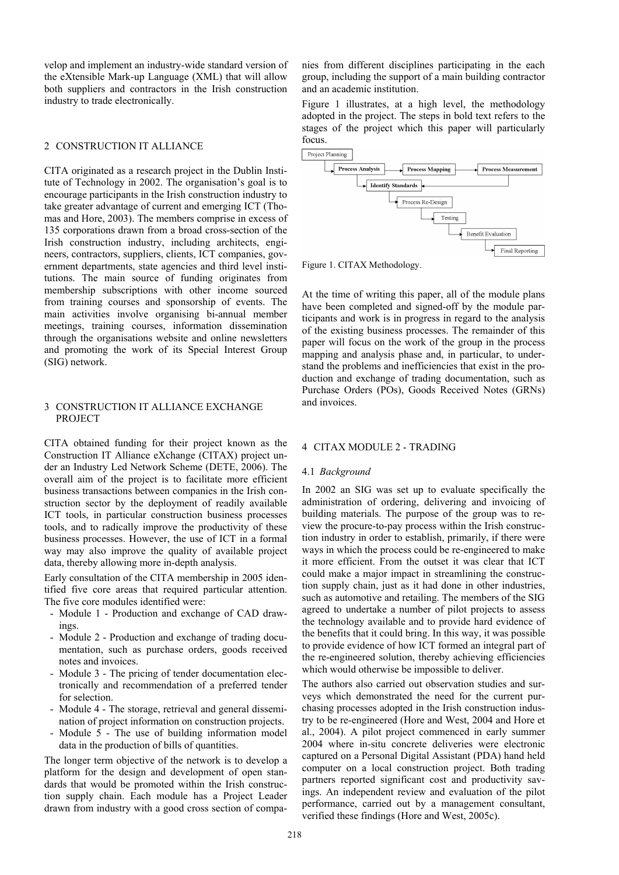velop and implement an industry-wide standard version of the eXtensible Mark-up Language (XML) that will allow both suppliers and contractors in the Irish construction industry to trade electronically.

# 2 CONSTRUCTION IT ALLIANCE

CITA originated as a research project in the Dublin Institute of Technology in 2002. The organisation's goal is to encourage participants in the Irish construction industry to take greater advantage of current and emerging ICT (Thomas and Hore, 2003). The members comprise in excess of 135 corporations drawn from a broad cross-section of the Irish construction industry, including architects, engineers, contractors, suppliers, clients, ICT companies, government departments, state agencies and third level institutions. The main source of funding originates from membership subscriptions with other income sourced from training courses and sponsorship of events. The main activities involve organising bi-annual member meetings, training courses, information dissemination through the organisations website and online newsletters and promoting the work of its Special Interest Group (SIG) network.

### 3 CONSTRUCTION IT ALLIANCE EXCHANGE PROJECT

CITA obtained funding for their project known as the Construction IT Alliance eXchange (CITAX) project under an Industry Led Network Scheme (DETE, 2006). The overall aim of the project is to facilitate more efficient business transactions between companies in the Irish construction sector by the deployment of readily available ICT tools, in particular construction business processes tools, and to radically improve the productivity of these business processes. However, the use of ICT in a formal way may also improve the quality of available project data, thereby allowing more in-depth analysis.

Early consultation of the CITA membership in 2005 identified five core areas that required particular attention. The five core modules identified were:

- Module 1 Production and exchange of CAD drawings.
- Module 2 Production and exchange of trading documentation, such as purchase orders, goods received notes and invoices.
- Module 3 The pricing of tender documentation electronically and recommendation of a preferred tender for selection.
- Module 4 The storage, retrieval and general dissemination of project information on construction projects.
- Module 5 The use of building information model data in the production of bills of quantities.

The longer term objective of the network is to develop a platform for the design and development of open standards that would be promoted within the Irish construction supply chain. Each module has a Project Leader drawn from industry with a good cross section of companies from different disciplines participating in the each group, including the support of a main building contractor and an academic institution.

Figure 1 illustrates, at a high level, the methodology adopted in the project. The steps in bold text refers to the stages of the project which this paper will particularly focus.



Figure 1. CITAX Methodology.

At the time of writing this paper, all of the module plans have been completed and signed-off by the module participants and work is in progress in regard to the analysis of the existing business processes. The remainder of this paper will focus on the work of the group in the process mapping and analysis phase and, in particular, to understand the problems and inefficiencies that exist in the production and exchange of trading documentation, such as Purchase Orders (POs), Goods Received Notes (GRNs) and invoices.

#### 4 CITAX MODULE 2 - TRADING

#### 4.1 *Background*

In 2002 an SIG was set up to evaluate specifically the administration of ordering, delivering and invoicing of building materials. The purpose of the group was to review the procure-to-pay process within the Irish construction industry in order to establish, primarily, if there were ways in which the process could be re-engineered to make it more efficient. From the outset it was clear that ICT could make a major impact in streamlining the construction supply chain, just as it had done in other industries, such as automotive and retailing. The members of the SIG agreed to undertake a number of pilot projects to assess the technology available and to provide hard evidence of the benefits that it could bring. In this way, it was possible to provide evidence of how ICT formed an integral part of the re-engineered solution, thereby achieving efficiencies which would otherwise be impossible to deliver.

The authors also carried out observation studies and surveys which demonstrated the need for the current purchasing processes adopted in the Irish construction industry to be re-engineered (Hore and West, 2004 and Hore et al., 2004). A pilot project commenced in early summer 2004 where in-situ concrete deliveries were electronic captured on a Personal Digital Assistant (PDA) hand held computer on a local construction project. Both trading partners reported significant cost and productivity savings. An independent review and evaluation of the pilot performance, carried out by a management consultant, verified these findings (Hore and West, 2005c).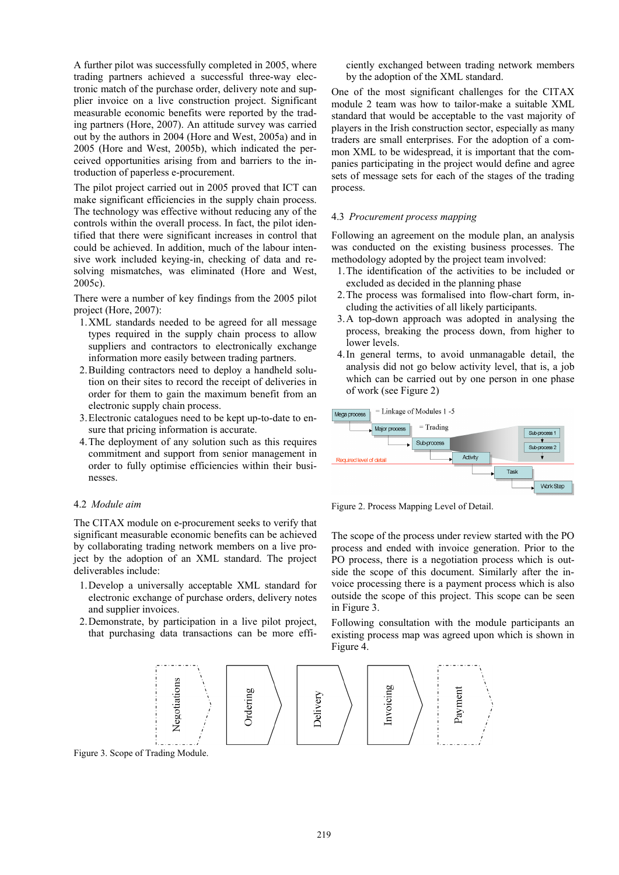A further pilot was successfully completed in 2005, where trading partners achieved a successful three-way electronic match of the purchase order, delivery note and supplier invoice on a live construction project. Significant measurable economic benefits were reported by the trading partners (Hore, 2007). An attitude survey was carried out by the authors in 2004 (Hore and West, 2005a) and in 2005 (Hore and West, 2005b), which indicated the perceived opportunities arising from and barriers to the introduction of paperless e-procurement.

The pilot project carried out in 2005 proved that ICT can make significant efficiencies in the supply chain process. The technology was effective without reducing any of the controls within the overall process. In fact, the pilot identified that there were significant increases in control that could be achieved. In addition, much of the labour intensive work included keying-in, checking of data and resolving mismatches, was eliminated (Hore and West, 2005c).

There were a number of key findings from the 2005 pilot project (Hore, 2007):

- 1.XML standards needed to be agreed for all message types required in the supply chain process to allow suppliers and contractors to electronically exchange information more easily between trading partners.
- 2.Building contractors need to deploy a handheld solution on their sites to record the receipt of deliveries in order for them to gain the maximum benefit from an electronic supply chain process.
- 3.Electronic catalogues need to be kept up-to-date to ensure that pricing information is accurate.
- 4.The deployment of any solution such as this requires commitment and support from senior management in order to fully optimise efficiencies within their businesses.

# 4.2 *Module aim*

The CITAX module on e-procurement seeks to verify that significant measurable economic benefits can be achieved by collaborating trading network members on a live project by the adoption of an XML standard. The project deliverables include:

- 1.Develop a universally acceptable XML standard for electronic exchange of purchase orders, delivery notes and supplier invoices.
- 2.Demonstrate, by participation in a live pilot project, that purchasing data transactions can be more effi-

ciently exchanged between trading network members by the adoption of the XML standard.

One of the most significant challenges for the CITAX module 2 team was how to tailor-make a suitable XML standard that would be acceptable to the vast majority of players in the Irish construction sector, especially as many traders are small enterprises. For the adoption of a common XML to be widespread, it is important that the companies participating in the project would define and agree sets of message sets for each of the stages of the trading process.

#### 4.3 *Procurement process mapping*

Following an agreement on the module plan, an analysis was conducted on the existing business processes. The methodology adopted by the project team involved:

- 1.The identification of the activities to be included or excluded as decided in the planning phase
- 2.The process was formalised into flow-chart form, including the activities of all likely participants.
- 3.A top-down approach was adopted in analysing the process, breaking the process down, from higher to lower levels.
- 4.In general terms, to avoid unmanagable detail, the analysis did not go below activity level, that is, a job which can be carried out by one person in one phase of work (see Figure 2)



Figure 2. Process Mapping Level of Detail.

The scope of the process under review started with the PO process and ended with invoice generation. Prior to the PO process, there is a negotiation process which is outside the scope of this document. Similarly after the invoice processing there is a payment process which is also outside the scope of this project. This scope can be seen in Figure 3.

Following consultation with the module participants an existing process map was agreed upon which is shown in Figure 4.



Figure 3. Scope of Trading Module.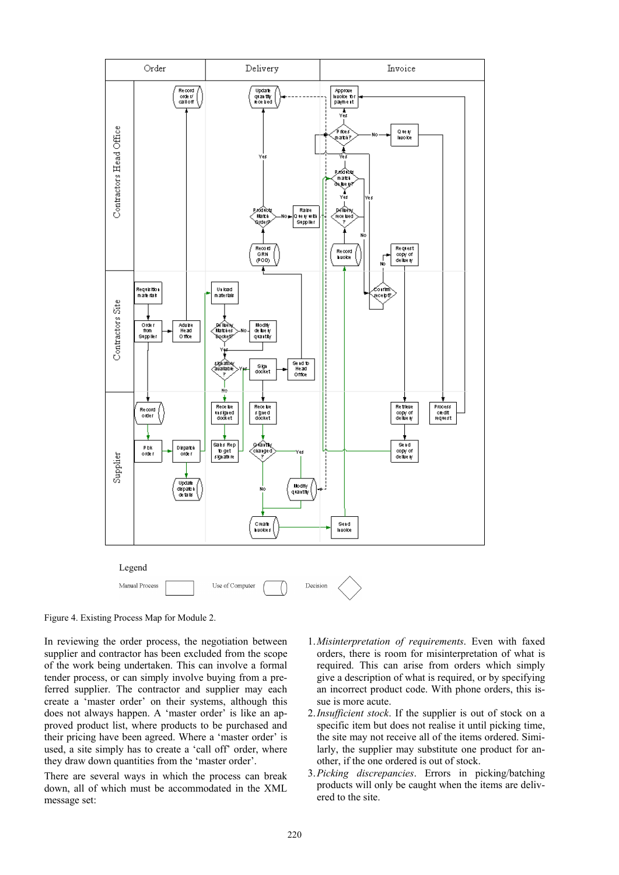

Figure 4. Existing Process Map for Module 2.

In reviewing the order process, the negotiation between supplier and contractor has been excluded from the scope of the work being undertaken. This can involve a formal tender process, or can simply involve buying from a preferred supplier. The contractor and supplier may each create a 'master order' on their systems, although this does not always happen. A 'master order' is like an approved product list, where products to be purchased and their pricing have been agreed. Where a 'master order' is used, a site simply has to create a 'call off' order, where they draw down quantities from the 'master order'.

There are several ways in which the process can break down, all of which must be accommodated in the XML message set:

- 1.*Misinterpretation of requirements*. Even with faxed orders, there is room for misinterpretation of what is required. This can arise from orders which simply give a description of what is required, or by specifying an incorrect product code. With phone orders, this issue is more acute.
- 2.*Insufficient stock*. If the supplier is out of stock on a specific item but does not realise it until picking time, the site may not receive all of the items ordered. Similarly, the supplier may substitute one product for another, if the one ordered is out of stock.
- 3.*Picking discrepancies*. Errors in picking/batching products will only be caught when the items are delivered to the site.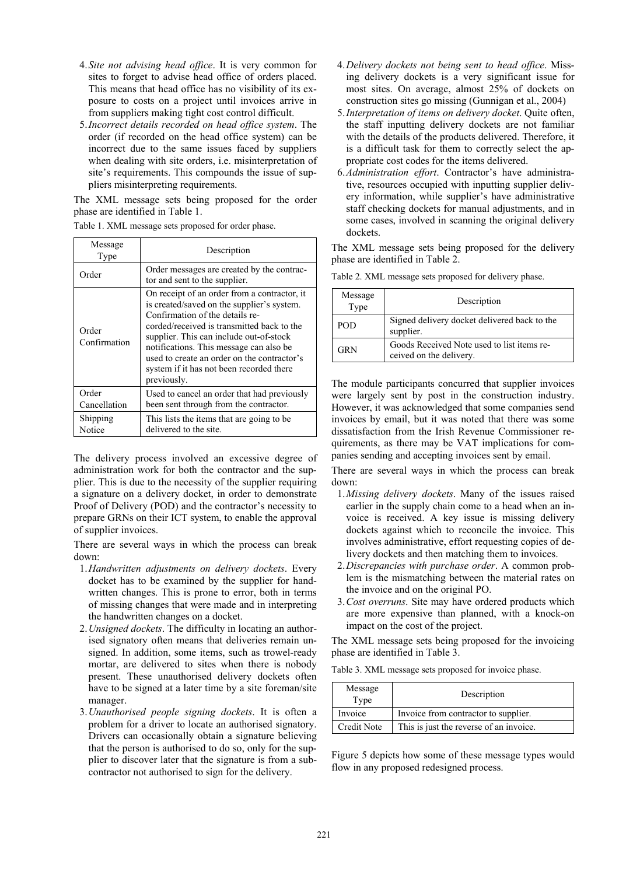- 4.*Site not advising head office*. It is very common for sites to forget to advise head office of orders placed. This means that head office has no visibility of its exposure to costs on a project until invoices arrive in from suppliers making tight cost control difficult.
- 5.*Incorrect details recorded on head office system*. The order (if recorded on the head office system) can be incorrect due to the same issues faced by suppliers when dealing with site orders, i.e. misinterpretation of site's requirements. This compounds the issue of suppliers misinterpreting requirements.

The XML message sets being proposed for the order phase are identified in Table 1.

| Message<br>Type       | Description                                                                                                                                                                                                                                                                                                                                                                 |
|-----------------------|-----------------------------------------------------------------------------------------------------------------------------------------------------------------------------------------------------------------------------------------------------------------------------------------------------------------------------------------------------------------------------|
| Order                 | Order messages are created by the contrac-<br>tor and sent to the supplier.                                                                                                                                                                                                                                                                                                 |
| Order<br>Confirmation | On receipt of an order from a contractor, it<br>is created/saved on the supplier's system.<br>Confirmation of the details re-<br>corded/received is transmitted back to the<br>supplier. This can include out-of-stock<br>notifications. This message can also be<br>used to create an order on the contractor's<br>system if it has not been recorded there<br>previously. |
| Order<br>Cancellation | Used to cancel an order that had previously<br>been sent through from the contractor.                                                                                                                                                                                                                                                                                       |
| Shipping<br>Notice    | This lists the items that are going to be<br>delivered to the site.                                                                                                                                                                                                                                                                                                         |

Table 1. XML message sets proposed for order phase.

The delivery process involved an excessive degree of administration work for both the contractor and the supplier. This is due to the necessity of the supplier requiring a signature on a delivery docket, in order to demonstrate Proof of Delivery (POD) and the contractor's necessity to prepare GRNs on their ICT system, to enable the approval of supplier invoices.

There are several ways in which the process can break down:

- 1.*Handwritten adjustments on delivery dockets*. Every docket has to be examined by the supplier for handwritten changes. This is prone to error, both in terms of missing changes that were made and in interpreting the handwritten changes on a docket.
- 2.*Unsigned dockets*. The difficulty in locating an authorised signatory often means that deliveries remain unsigned. In addition, some items, such as trowel-ready mortar, are delivered to sites when there is nobody present. These unauthorised delivery dockets often have to be signed at a later time by a site foreman/site manager.
- 3.*Unauthorised people signing dockets*. It is often a problem for a driver to locate an authorised signatory. Drivers can occasionally obtain a signature believing that the person is authorised to do so, only for the supplier to discover later that the signature is from a subcontractor not authorised to sign for the delivery.
- 4.*Delivery dockets not being sent to head office*. Missing delivery dockets is a very significant issue for most sites. On average, almost 25% of dockets on construction sites go missing (Gunnigan et al., 2004)
- 5.*Interpretation of items on delivery docket*. Quite often, the staff inputting delivery dockets are not familiar with the details of the products delivered. Therefore, it is a difficult task for them to correctly select the appropriate cost codes for the items delivered.
- 6.*Administration effort*. Contractor's have administrative, resources occupied with inputting supplier delivery information, while supplier's have administrative staff checking dockets for manual adjustments, and in some cases, involved in scanning the original delivery dockets.

The XML message sets being proposed for the delivery phase are identified in Table 2.

|  |                 | Table 2. XML message sets proposed for delivery phase.                |
|--|-----------------|-----------------------------------------------------------------------|
|  | Message<br>Type | Description                                                           |
|  | POD             | Signed delivery docket delivered back to the<br>supplier.             |
|  | GRN             | Goods Received Note used to list items re-<br>ceived on the delivery. |

The module participants concurred that supplier invoices were largely sent by post in the construction industry. However, it was acknowledged that some companies send invoices by email, but it was noted that there was some dissatisfaction from the Irish Revenue Commissioner requirements, as there may be VAT implications for companies sending and accepting invoices sent by email.

There are several ways in which the process can break down:

- 1.*Missing delivery dockets*. Many of the issues raised earlier in the supply chain come to a head when an invoice is received. A key issue is missing delivery dockets against which to reconcile the invoice. This involves administrative, effort requesting copies of delivery dockets and then matching them to invoices.
- 2.*Discrepancies with purchase order*. A common problem is the mismatching between the material rates on the invoice and on the original PO.
- 3.*Cost overruns*. Site may have ordered products which are more expensive than planned, with a knock-on impact on the cost of the project.

The XML message sets being proposed for the invoicing phase are identified in Table 3.

Table 3. XML message sets proposed for invoice phase.

| Message<br>Type | Description                             |
|-----------------|-----------------------------------------|
| Invoice         | Invoice from contractor to supplier.    |
| Credit Note     | This is just the reverse of an invoice. |

Figure 5 depicts how some of these message types would flow in any proposed redesigned process.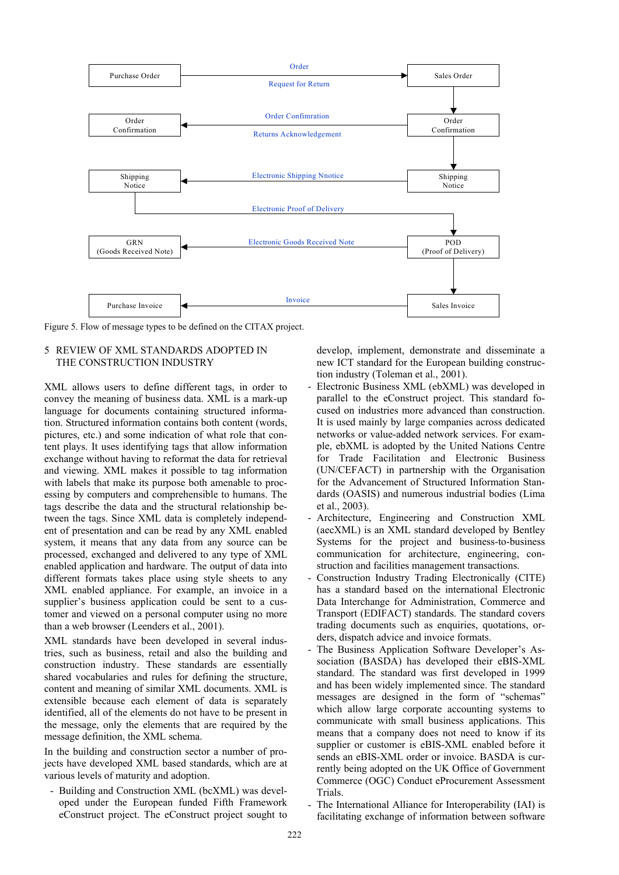

Figure 5. Flow of message types to be defined on the CITAX project.

# 5 REVIEW OF XML STANDARDS ADOPTED IN THE CONSTRUCTION INDUSTRY

XML allows users to define different tags, in order to convey the meaning of business data. XML is a mark-up language for documents containing structured information. Structured information contains both content (words, pictures, etc.) and some indication of what role that content plays. It uses identifying tags that allow information exchange without having to reformat the data for retrieval and viewing. XML makes it possible to tag information with labels that make its purpose both amenable to processing by computers and comprehensible to humans. The tags describe the data and the structural relationship between the tags. Since XML data is completely independent of presentation and can be read by any XML enabled system, it means that any data from any source can be processed, exchanged and delivered to any type of XML enabled application and hardware. The output of data into different formats takes place using style sheets to any XML enabled appliance. For example, an invoice in a supplier's business application could be sent to a customer and viewed on a personal computer using no more than a web browser (Leenders et al., 2001).

XML standards have been developed in several industries, such as business, retail and also the building and construction industry. These standards are essentially shared vocabularies and rules for defining the structure, content and meaning of similar XML documents. XML is extensible because each element of data is separately identified, all of the elements do not have to be present in the message, only the elements that are required by the message definition, the XML schema.

In the building and construction sector a number of projects have developed XML based standards, which are at various levels of maturity and adoption.

- Building and Construction XML (bcXML) was developed under the European funded Fifth Framework eConstruct project. The eConstruct project sought to develop, implement, demonstrate and disseminate a new ICT standard for the European building construction industry (Toleman et al., 2001).

- Electronic Business XML (ebXML) was developed in parallel to the eConstruct project. This standard focused on industries more advanced than construction. It is used mainly by large companies across dedicated networks or value-added network services. For example, ebXML is adopted by the United Nations Centre for Trade Facilitation and Electronic Business (UN/CEFACT) in partnership with the Organisation for the Advancement of Structured Information Standards (OASIS) and numerous industrial bodies (Lima et al., 2003).
- Architecture, Engineering and Construction XML (aecXML) is an XML standard developed by Bentley Systems for the project and business-to-business communication for architecture, engineering, construction and facilities management transactions.
- Construction Industry Trading Electronically (CITE) has a standard based on the international Electronic Data Interchange for Administration, Commerce and Transport (EDIFACT) standards. The standard covers trading documents such as enquiries, quotations, orders, dispatch advice and invoice formats.
- The Business Application Software Developer's Association (BASDA) has developed their eBIS-XML standard. The standard was first developed in 1999 and has been widely implemented since. The standard messages are designed in the form of "schemas" which allow large corporate accounting systems to communicate with small business applications. This means that a company does not need to know if its supplier or customer is eBIS-XML enabled before it sends an eBIS-XML order or invoice. BASDA is currently being adopted on the UK Office of Government Commerce (OGC) Conduct eProcurement Assessment Trials.
- The International Alliance for Interoperability (IAI) is facilitating exchange of information between software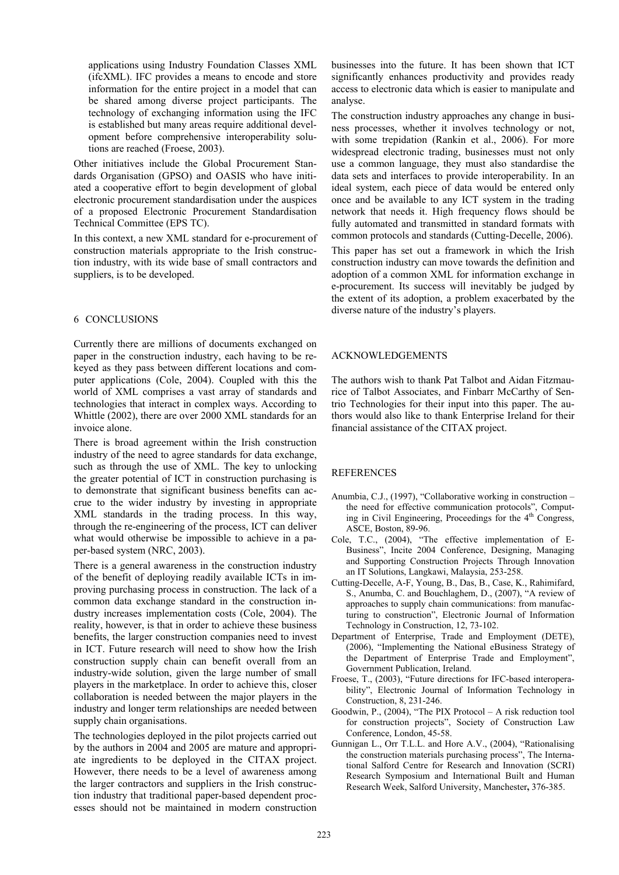applications using Industry Foundation Classes XML (ifcXML). IFC provides a means to encode and store information for the entire project in a model that can be shared among diverse project participants. The technology of exchanging information using the IFC is established but many areas require additional development before comprehensive interoperability solutions are reached (Froese, 2003).

Other initiatives include the Global Procurement Standards Organisation (GPSO) and OASIS who have initiated a cooperative effort to begin development of global electronic procurement standardisation under the auspices of a proposed Electronic Procurement Standardisation Technical Committee (EPS TC).

In this context, a new XML standard for e-procurement of construction materials appropriate to the Irish construction industry, with its wide base of small contractors and suppliers, is to be developed.

### 6 CONCLUSIONS

Currently there are millions of documents exchanged on paper in the construction industry, each having to be rekeyed as they pass between different locations and computer applications (Cole, 2004). Coupled with this the world of XML comprises a vast array of standards and technologies that interact in complex ways. According to Whittle (2002), there are over 2000 XML standards for an invoice alone.

There is broad agreement within the Irish construction industry of the need to agree standards for data exchange, such as through the use of XML. The key to unlocking the greater potential of ICT in construction purchasing is to demonstrate that significant business benefits can accrue to the wider industry by investing in appropriate XML standards in the trading process. In this way, through the re-engineering of the process, ICT can deliver what would otherwise be impossible to achieve in a paper-based system (NRC, 2003).

There is a general awareness in the construction industry of the benefit of deploying readily available ICTs in improving purchasing process in construction. The lack of a common data exchange standard in the construction industry increases implementation costs (Cole, 2004). The reality, however, is that in order to achieve these business benefits, the larger construction companies need to invest in ICT. Future research will need to show how the Irish construction supply chain can benefit overall from an industry-wide solution, given the large number of small players in the marketplace. In order to achieve this, closer collaboration is needed between the major players in the industry and longer term relationships are needed between supply chain organisations.

The technologies deployed in the pilot projects carried out by the authors in 2004 and 2005 are mature and appropriate ingredients to be deployed in the CITAX project. However, there needs to be a level of awareness among the larger contractors and suppliers in the Irish construction industry that traditional paper-based dependent processes should not be maintained in modern construction

businesses into the future. It has been shown that ICT significantly enhances productivity and provides ready access to electronic data which is easier to manipulate and analyse.

The construction industry approaches any change in business processes, whether it involves technology or not, with some trepidation (Rankin et al., 2006). For more widespread electronic trading, businesses must not only use a common language, they must also standardise the data sets and interfaces to provide interoperability. In an ideal system, each piece of data would be entered only once and be available to any ICT system in the trading network that needs it. High frequency flows should be fully automated and transmitted in standard formats with common protocols and standards (Cutting-Decelle, 2006).

This paper has set out a framework in which the Irish construction industry can move towards the definition and adoption of a common XML for information exchange in e-procurement. Its success will inevitably be judged by the extent of its adoption, a problem exacerbated by the diverse nature of the industry's players.

# ACKNOWLEDGEMENTS

The authors wish to thank Pat Talbot and Aidan Fitzmaurice of Talbot Associates, and Finbarr McCarthy of Sentrio Technologies for their input into this paper. The authors would also like to thank Enterprise Ireland for their financial assistance of the CITAX project.

# **REFERENCES**

- Anumbia, C.J., (1997), "Collaborative working in construction the need for effective communication protocols", Computing in Civil Engineering, Proceedings for the  $4<sup>th</sup>$  Congress, ASCE, Boston, 89-96.
- Cole, T.C., (2004), "The effective implementation of E-Business", Incite 2004 Conference, Designing, Managing and Supporting Construction Projects Through Innovation an IT Solutions, Langkawi, Malaysia, 253-258.
- Cutting-Decelle, A-F, Young, B., Das, B., Case, K., Rahimifard, S., Anumba, C. and Bouchlaghem, D., (2007), "A review of approaches to supply chain communications: from manufacturing to construction", Electronic Journal of Information Technology in Construction, 12, 73-102.
- Department of Enterprise, Trade and Employment (DETE), (2006), "Implementing the National eBusiness Strategy of the Department of Enterprise Trade and Employment", Government Publication, Ireland.
- Froese, T., (2003), "Future directions for IFC-based interoperability", Electronic Journal of Information Technology in Construction, 8, 231-246.
- Goodwin, P., (2004), "The PIX Protocol A risk reduction tool for construction projects", Society of Construction Law Conference, London, 45-58.
- Gunnigan L., Orr T.L.L. and Hore A.V., (2004), "Rationalising the construction materials purchasing process", The International Salford Centre for Research and Innovation (SCRI) Research Symposium and International Built and Human Research Week, Salford University, Manchester**,** 376-385.